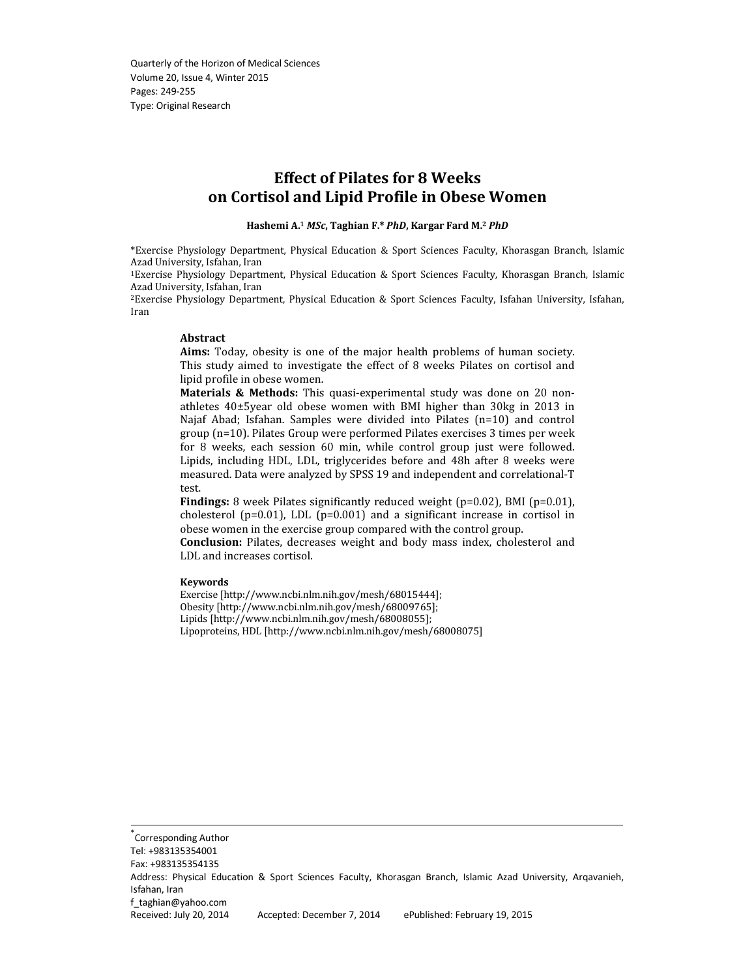# Effect of Pilates for 8 Weeks on Cortisol and Lipid Profile in Obese Women

#### Hashemi A.<sup>1</sup> MSc, Taghian F.\* PhD, Kargar Fard M.<sup>2</sup> PhD

\*Exercise Physiology Department, Physical Education & Sport Sciences Faculty, Khorasgan Branch, Islamic Azad University, Isfahan, Iran

<sup>1</sup>Exercise Physiology Department, Physical Education & Sport Sciences Faculty, Khorasgan Branch, Islamic Azad University, Isfahan, Iran

<sup>2</sup>Exercise Physiology Department, Physical Education & Sport Sciences Faculty, Isfahan University, Isfahan, Iran

#### Abstract

Aims: Today, obesity is one of the major health problems of human society. This study aimed to investigate the effect of 8 weeks Pilates on cortisol and lipid profile in obese women.

Materials & Methods: This quasi-experimental study was done on 20 nonathletes 40±5year old obese women with BMI higher than 30kg in 2013 in Najaf Abad; Isfahan. Samples were divided into Pilates (n=10) and control group (n=10). Pilates Group were performed Pilates exercises 3 times per week for 8 weeks, each session 60 min, while control group just were followed. Lipids, including HDL, LDL, triglycerides before and 48h after 8 weeks were measured. Data were analyzed by SPSS 19 and independent and correlational-T test.

Findings: 8 week Pilates significantly reduced weight (p=0.02), BMI (p=0.01), cholesterol (p=0.01), LDL (p=0.001) and a significant increase in cortisol in obese women in the exercise group compared with the control group.

Conclusion: Pilates, decreases weight and body mass index, cholesterol and LDL and increases cortisol.

#### Keywords

Exercise [http://www.ncbi.nlm.nih.gov/mesh/68015444]; Obesity [http://www.ncbi.nlm.nih.gov/mesh/68009765]; Lipids [http://www.ncbi.nlm.nih.gov/mesh/68008055]; Lipoproteins, HDL [http://www.ncbi.nlm.nih.gov/mesh/68008075]

\* Corresponding Author Tel: +983135354001 Fax: +983135354135 Address: Physical Education & Sport Sciences Faculty, Khorasgan Branch, Islamic Azad University, Arqavanieh, Isfahan, Iran f\_taghian@yahoo.com Received: July 20, 2014 Accepted: December 7, 2014 ePublished: February 19, 2015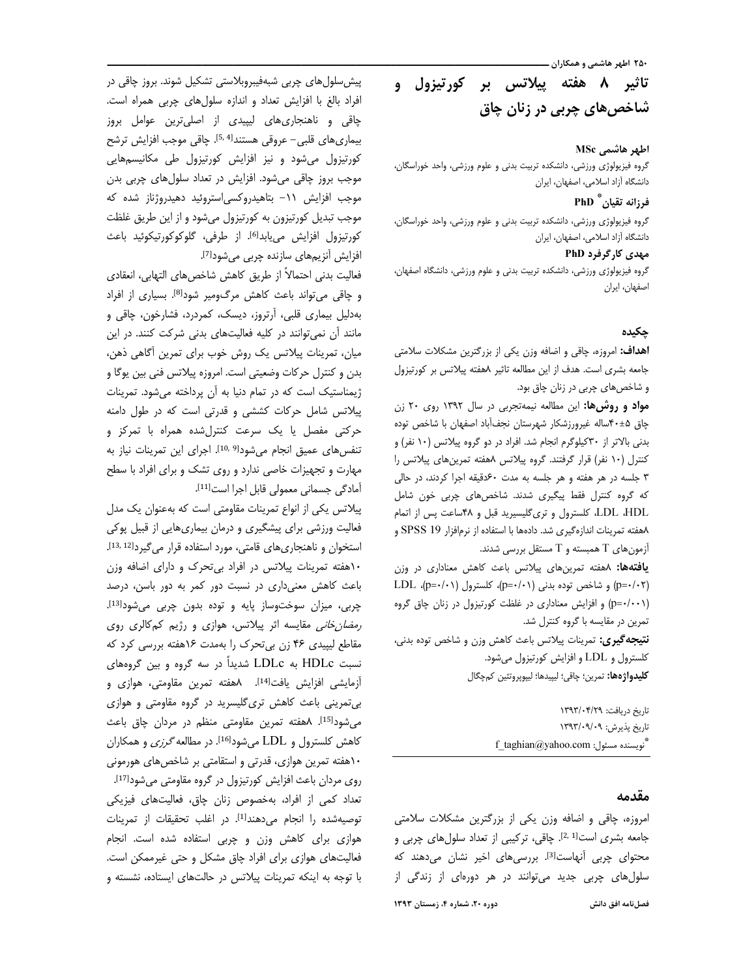# تاثیر ۸ هفته پیلاتس بر کورتیزول و شاخصهای چربی در زنان چاق

## اطهر هاشمي MSc

گروه فیزیولوژی ورزشی، دانشکده تربیت بدنی و علوم ورزشی، واحد خوراسگان، دانشگاه آزاد اسلامی، اصفهان، ایران

# فرزانه تقيان # PhD

گروه فیزیولوژی ورزشی، دانشکده تربیت بدنی و علوم ورزشی، واحد خوراسگان، دانشگاه آزاد اسلامی، اصفهان، ایران

#### مهدی کارگرفرد PhD

گروه فیزیولوژی ورزشی، دانشکده تربیت بدنی و علوم ورزشی، دانشگاه اصفهان، اصفهان، ايران

## جكىدە

**اهداف:** امروزه، چاقی و اضافه وزن یکی از بزرگترین مشکلات سلامتی جامعه بشرى است. هدف از اين مطالعه تاثير ٨هفته پيلاتس بر كورتيزول و شاخصهای چربی در زنان چاق بود.

مواد و روشها: این مطالعه نیمه تجربی در سال ۱۳۹۲ روی ۲۰ زن چاق ۵±۴۰ساله غیرورزشکار شهرستان نجف آباد اصفهان با شاخص توده بدنی بالاتر از ۳۰کیلوگرم انجام شد. افراد در دو گروه پیلاتس (۱۰ نفر) و کنترل (۱۰ نفر) قرار گرفتند. گروه پیلاتس ۸هفته تمرینهای پیلاتس را ۳ جلسه در هر هفته و هر جلسه به مدت ۶۰دقیقه اجرا کردند، در حالی که گروه کنترل فقط پیگیری شدند. شاخصهای چربی خون شامل LDL ،HDL كلسترول وترى گليسيريد قبل و ۴۸ساعت پس از اتمام ۸هفته تمرینات اندازهگیری شد. دادهها با استفاده از نرمافزار SPSS 19 و آزمونهای T همبسته و T مستقل بررسی شدند.

**یافتهها:** ۸هفته تمرینهای پیلاتس باعث کاهش معناداری در وزن LDL (p= $\cdot/\cdot$ ) و شاخص توده بدنی (p= $\cdot/\cdot$ )، کلسترول (p= $\cdot/\cdot$ )، LDL (p=٠/٠٠١) و افزایش معناداری در غلظت کورتیزول در زنان چاق گروه تمرین در مقایسه با گروه کنترل شد.

**نتيجه گيري:** تمرينات پيلاتس باعث كاهش وزن و شاخص توده بدني، كلسترول و LDL و افزايش كورتيزول مى شود. **كليدواژهها:** تمرين؛ چاقي؛ ليپيدها؛ ليپوپروتئين كمچگال

> تاريخ دريافت: ١٣٩٣/٠۴/٢٩ تاريخ پذيرش: ١٣٩٣/٠٩/٠٩ f\_taghian@yahoo.com : تويسنده مسئول

### مقدمه

امروزه، چاقی و اضافه وزن یکی از بزرگترین مشکلات سلامتی جامعه بشری است<sup>[2, 1]</sup>. چاقی، ترکیبی از تعداد سلولهای چربی و محتوای چربی آنهاست<sup>[3]</sup>. بررسیهای اخیر نشان میدهند که سلول های چربی جدید می توانند در هر دورهای از زندگی از

فصلنامه افق دانش

پیش سلول های چربی شبهفیبروبلاستی تشکیل شوند. بروز چاقی در افراد بالغ با افزایش تعداد و اندازه سلولهای چربی همراه است. چاقی و ناهنجاری های لیپیدی از اصلیترین عوامل بروز بيماري هاي قلبي– عروقي هستندا<sup>5, 4]</sup>. چاقي موجب افزايش ترشح کورتیزول میشود و نیز افزایش کورتیزول طی مکانیسمهایی موجب بروز چاقی می شود. افزایش در تعداد سلول های چربی بدن موجب افزایش ٦١- بتاهیدروکسی|ستروئید دهیدروژناز شده که موجب تبدیل کورتیزون به کورتیزول میشود و از این طریق غلظت كورتيزول افزايش مى يابدا<sup>6]</sup>. از طرفى، گلوكوكورتيكوئيد باعث افزایش آنزیمهای سازنده چربی میشود<sup>[7]</sup>.

فعاليت بدني احتمالاً از طريق كاهش شاخصهاى التهابي، انعقادي و چاقی می تواند باعث کاهش مرگ ومیر شود<sup>[8]</sup>. بسیاری از افراد بهدلیل بیماری قلبی، آرتروز، دیسک، کمردرد، فشارخون، چاقی و مانند آن نمی توانند در کلیه فعالیتهای بدنی شرکت کنند. در این میان، تمرینات پیلاتس یک روش خوب برای تمرین آگاهی ذهن، بدن و کنترل حرکات وضعیتی است. امروزه پیلاتس فنی بین یوگا و ژیمناستیک است که در تمام دنیا به آن پرداخته میشود. تمرینات پیلاتس شامل حرکات کششی و قدرتی است که در طول دامنه حرکتی مفصل یا یک سرعت کنترلشده همراه با تمرکز و تنفس های عمیق انجام می شود<sup>[9, 10]</sup>. اجرای این تمرینات نیاز به مهارت و تجهیزات خاصی ندارد و روی تشک و برای افراد با سطح آمادگی جسمانی معمولی قابل اجرا است[11].

پیلاتس یکی از انواع تمرینات مقاومتی است که بهعنوان یک مدل فعالیت ورزشی برای پیشگیری و درمان بیماری هایی از قبیل پوکی استخوان و ناهنجاری های قامتی، مورد استفاده قرار می گیرد[13, 13]. ۱۰هفته تمرینات پیلاتس در افراد بیتحرک و دارای اضافه وزن باعث کاهش معنی داری در نسبت دور کمر به دور باسن، درصد چربي، ميزان سوختوساز پايه و توده بدون چربي مي شود<sup>[13]</sup>. *رمضان خانی* مقایسه اثر پیلاتس، هوازی و رژیم کمکالری روی مقاطع لیپیدی ۴۶ زن بی تحرک را بهمدت ۱۶هفته بررسی کرد که نسبت HDLc به LDLc شدیداً در سه گروه و بین گروههای آزمایشی افزایش یافت<sup>[14]</sup>. ۸هفته تمرین مقاومتی، هوازی و بی تمرینی باعث کاهش تری گلیسرید در گروه مقاومتی و هوازی می شود<sup>[15]</sup>. Aهفته تمرین مقاومتی منظم در مردان چاق باعث کاهش کلسترول و LDL میشود<sup>[16]</sup>. در مطالعه *گرزی* و همکاران ۱۰هفته تمرین هوازی، قدرتی و استقامتی بر شاخصهای هورمونی روی مردان باعث افزایش کورتیزول در گروه مقاومتی میشود<sup>[17]</sup>. تعداد کمی از افراد، بهخصوص زنان چاق، فعالیتهای فیزیکی توصيه شده را انجام مى دهند [1]. در اغلب تحقيقات از تمرينات هوازی برای کاهش وزن و چربی استفاده شده است. انجام فعالیتهای هوازی برای افراد چاق مشکل و حتی غیرممکن است. با توجه به اینکه تمرینات پیلاتس در حالتهای ایستاده، نشسته و

دوره ۲۰، شماره ۴، زمستان ۱۳۹۳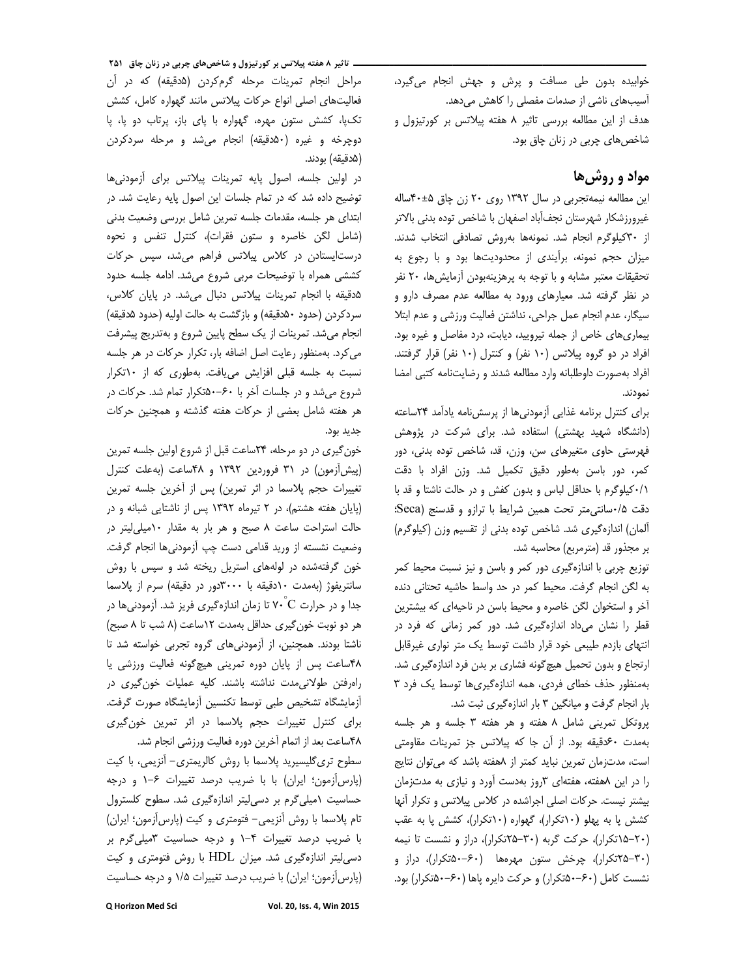خوابیده بدون طی مسافت و پرش و جهش انجام میگیرد، آسیبهای ناشی از صدمات مفصلی را کاهش میدهد. هدف از این مطالعه بررسی تاثیر ۸ هفته پیلاتس بر کورتیزول و شاخصهای چربی در زنان چاق بود.

# مواد و روش ها

این مطالعه نیمه تجربی در سال ۱۳۹۲ روی ۲۰ زن چاق ۴۰±۴۰ساله غيرورزشكار شهرستان نجفآباد اصفهان با شاخص توده بدنى بالاتر از ٣٠ كيلوگرم انجام شد. نمونهها بهروش تصادفي انتخاب شدند. میزان حجم نمونه، برآیندی از محدودیتها بود و با رجوع به تحقیقات معتبر مشابه و با توجه به پرهزینهبودن آزمایش ها، ۲۰ نفر در نظر گرفته شد. معیارهای ورود به مطالعه عدم مصرف دارو و سيگار، عدم انجام عمل جراحي، نداشتن فعاليت ورزشي و عدم ابتلا بیماری های خاص از جمله تیرویید، دیابت، درد مفاصل و غیره بود. افراد در دو گروه پیلاتس (۱۰ نفر) و کنترل (۱۰ نفر) قرار گرفتند. افراد بهصورت داوطلبانه وارد مطالعه شدند و رضايتنامه كتبى امضا نمودند.

برای کنترل برنامه غذایی آزمودنیها از پرسش نامه یادآمد ۲۴ساعته (دانشگاه شهید بهشتی) استفاده شد. برای شرکت در پژوهش فهرستی حاوی متغیرهای سن، وزن، قد، شاخص توده بدنی، دور كمر، دور باسن بهطور دقيق تكميل شد. وزن افراد با دقت ٠/١كيلوگرم با حداقل لباس و بدون كفش و در حالت ناشتا و قد با دقت ٠/٥سانتى متر تحت همين شرايط با ترازو و قدسنج (Seca: آلمان) اندازهگیری شد. شاخص توده بدنی از تقسیم وزن (کیلوگرم) بر مجذور قد (مترمربع) محاسبه شد.

توزیع چربی با اندازهگیری دور کمر و باسن و نیز نسبت محیط کمر به لگن انجام گرفت. محیط کمر در حد واسط حاشیه تحتانی دنده آخر و استخوان لگن خاصره و محیط باسن در ناحیهای که بیشترین قطر را نشان میداد اندازهگیری شد. دور کمر زمانی که فرد در انتهای بازدم طیبعی خود قرار داشت توسط یک متر نواری غیرقابل ارتجاع و بدون تحمیل هیچگونه فشاری بر بدن فرد اندازهگیری شد. بهمنظور حذف خطای فردی، همه اندازهگیری ها توسط یک فرد ۳ بار انجام گرفت و میانگین ۳ بار اندازهگیری ثبت شد.

پروتکل تمرینی شامل ٨ هفته و هر هفته ٣ جلسه و هر جلسه بهمدت ۶۰دقیقه بود. از آن جا که پیلاتس جز تمرینات مقاومتی است، مدتزمان تمرین نباید کمتر از ۸هفته باشد که می توان نتایج را در این ۸هفته، هفتهای ۳روز بهدست آورد و نیازی به مدتزمان بیشتر نیست. حرکات اصلی اجراشده در کلاس پیلاتس و تکرار آنها کشش پا به پهلو (١٠تكرار)، گهواره (١٠تكرار)، كشش پا به عقب (۲۰–۱۵تکرار)، حرکت گربه (۳۰–۲۵تکرار)، دراز و نشست تا نیمه (۳۰–۲۵تکرار)، چرخش ستون مهرهها (۶۰–۵۰تکرار)، دراز و نشست کامل (۶۰–۵۰۰تکرار) و حرکت دایره پاها (۶۰–۵۰تکرار) بود.

**- تاثیر ۸ هفته پیلاتس بر کورتیزول و شاخصهای چربی در زنان چاق ۲۵۱** مراحل انجام تمرینات مرحله گرمکردن (۵دقیقه) که در آن فعالیتهای اصلی انواع حرکات پیلاتس مانند گهواره کامل، کشش تکیا، کشش ستون مهره، گهواره با پای باز، پرتاب دو یا، پا دوچرخه و غیره (۵۰دقیقه) انجام میشد و مرحله سردکردن (۵دقیقه) بودند.

در اولین جلسه، اصول پایه تمرینات پیلاتس برای آزمودنیها توضیح داده شد که در تمام جلسات این اصول پایه رعایت شد. در ابتداى هر جلسه، مقدمات جلسه تمرين شامل بررسى وضعيت بدنى (شامل لگن خاصره و ستون فقرات)، كنترل تنفس و نحوه درستایستادن در کلاس پیلاتس فراهم میشد، سپس حرکات كششى همراه با توضيحات مربى شروع مى شد. ادامه جلسه حدود هدقیقه با انجام تمرینات پیلاتس دنبال می شد. در پایان کلاس، سردكردن (حدود ۵۰دقيقه) و بازگشت به حالت اوليه (حدود ۵دقيقه) انجام می شد. تمرینات از یک سطح پایین شروع و به تدریج پیشرفت می کرد. بهمنظور رعایت اصل اضافه بار، تکرار حرکات در هر جلسه نسبت به جلسه قبلی افزایش می یافت. بهطوری که از ١٠تكرار شروع میشد و در جلسات آخر با ۶۰–۵۰تکرار تمام شد. حرکات در هر هفته شامل بعضی از حرکات هفته گذشته و همچنین حرکات جديد بود.

خون گیری در دو مرحله، ۲۴ساعت قبل از شروع اولین جلسه تمرین (پیش آزمون) در ۳۱ فروردین ۱۳۹۲ و ۴۸ساعت (به علت کنترل تغییرات حجم پلاسما در اثر تمرین) پس از آخرین جلسه تمرین (پایان هفته هشتم)، در ٢ تیرماه ١٣٩٢ پس از ناشتایی شبانه و در حالت استراحت ساعت ٨ صبح و هر بار به مقدار ١٠ميلي ليتر در وضعیت نشسته از ورید قدامی دست چپ اَزمودنیها انجام گرفت. خون گرفتهشده در لولههای استریل ریخته شد و سپس با روش سانتریفوژ (بهمدت ١٠دقیقه با ٣٠٠٠دور در دقیقه) سرم از پلاسما جدا و در حرارت V• C تا زمان اندازهگیری فریز شد. آزمودنیها در هر دو نوبت خون گیری حداقل بهمدت ١٢ساعت (٨ شب تا ٨ صبح) ناشتا بودند. همچنین، از آزمودنیهای گروه تجربی خواسته شد تا ۴۸ساعت پس از پایان دوره تمرینی هیچگونه فعالیت ورزشی یا راهرفتن طولانی مدت نداشته باشند. کلیه عملیات خون گیری در أزمايشگاه تشخيص طبي توسط تكنسين أزمايشگاه صورت گرفت. برای کنترل تغییرات حجم پلاسما در اثر تمرین خون گیری ۴۸ساعت بعد از اتمام آخرین دوره فعالیت ورزشی انجام شد.

سطوح ترى گليسيريد پلاسما با روش كالريمترى- آنزيمي، با كيت (پارس آزمون؛ ایران) با با ضریب درصد تغییرات ۶-١ و درجه حساسیت ١میلی گرم بر دسی لیتر اندازهگیری شد. سطوح کلسترول تام پلاسما با روش آنزیمی- فتومتری و کیت (پارس آزمون؛ ایران) با ضریب درصد تغییرات ۴-۱ و درجه حساسیت ۳میلی گرم بر دسی لیتر اندازهگیری شد. میزان HDL با روش فتومتری و کیت (پارس آزمون؛ ایران) با ضریب درصد تغییرات ۱/۵ و درجه حساسیت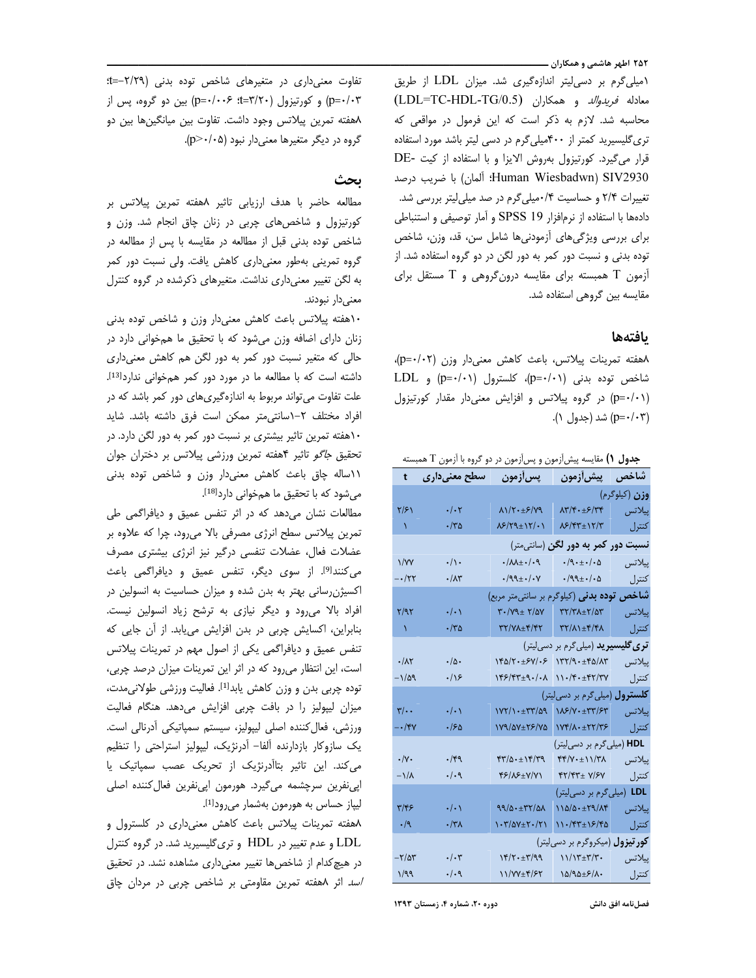۲۵۲ اطهر هاشمی و همکاران ـــــ

(میلی گرم بر دسی لیتر اندازهگیری شد. میزان LDL از طریق (LDL=TC-HDL-TG/0.5) معادله فريدوالد و همكاران (LDL=TC-HDL-TG/0.5) محاسبه شد. لازم به ذکر است که این فرمول در مواقعی که تری گلیسیرید کمتر از ۴۰۰میلی گرم در دسی لیتر باشد مورد استفاده قرار می گیرد. کورتیزول بهروش الایزا و با استفاده از کیت -DE Human Wiesbadwn) SIV2930؛ ألمان) با ضريب درصد تغییرات ۲/۴ و حساسیت ۰/۴میلی گرم در صد میلی لیتر بررسی شد. دادهها با استفاده از نرمافزار SPSS 19 و آمار توصیفی و استنباطی برای بررسی ویژگیهای آزمودنیها شامل سن، قد، وزن، شاخص توده بدنی و نسبت دور کمر به دور لگن در دو گروه استفاده شد. از أزمون T همبسته برای مقایسه درونگروهی و T مستقل برای مقایسه بین گروهی استفاده شد.

## بافتهها

۸هفته تمرینات پیلاتس، باعث کاهش معنیدار وزن (p=۰/۰۲)، شاخص توده بدنی (p=٠/٠١)، کلسترول (p=٠/٠١) و LDL (p=٠/٠١) در گروه پیلاتس و افزایش معنیدار مقدار کورتیزول (p=۰/۰۳) شد (جدول ۱).

**جدول ۱)** مقایسه پیش[زمون و پس[زمون در دو گروه با آزمون T همبسته

| t                                         | سطح معنیداری                                                | پس زمون                                                                | <b>پیش[زمون</b>                                                 | شاخص   |  |
|-------------------------------------------|-------------------------------------------------------------|------------------------------------------------------------------------|-----------------------------------------------------------------|--------|--|
|                                           | وزن (کیلوگرم)                                               |                                                                        |                                                                 |        |  |
| ۲/۶۱                                      | $\cdot/\cdot$ ٢                                             | $\lambda \frac{1}{\gamma + \pm \epsilon}$                              | $\lambda \mathbf{y}/\mathbf{y} \cdot \pm \mathbf{y}/\mathbf{y}$ | پیلاتس |  |
| ١.                                        | ۰/۳۵                                                        | $\frac{1}{2}$                                                          | 8/47±12/7                                                       | كنترل  |  |
| <b>نسبت دور کمر به دور لگن</b> (سانتیمتر) |                                                             |                                                                        |                                                                 |        |  |
| $\frac{1}{\sqrt{2}}$                      | $\cdot/\rangle$ .                                           | $\cdot/\lambda\lambda_{\pm}\cdot/\cdot$ ٩                              | $\cdot$ /9 $\cdot$ $\pm$ $\cdot$ / $\cdot$ $\Delta$             | پيلاتس |  |
| $-\cdot$ /۲۲                              | $\cdot/\lambda$ ۳                                           | $\cdot$ /99± $\cdot$ / $\cdot$ Y                                       | $\cdot$ /99 $\pm$ $\cdot$ / $\cdot$ ۵                           | كنترل  |  |
|                                           | شاخص<br><b>توده بدنی</b> (کیلوگرم بر سانتیمتر مربع)         |                                                                        |                                                                 |        |  |
| ۲/۹۲                                      | $\cdot/\cdot$                                               | $\mathbf{Y} \cdot / \mathbf{Y} \mathbf{X} \pm \mathbf{Y} / \mathbf{Y}$ | $\frac{1}{2}$                                                   | پیلاتس |  |
| $\Delta$                                  | ۰/۳۵                                                        | 77/71±4/77                                                             | $\mathcal{W}(X) \pm \mathcal{W}(Y)$                             | كنترل  |  |
|                                           | <mark>تری گلیسیرید</mark> (میل <sub>ی</sub> گرم بر دسیلیتر) |                                                                        |                                                                 |        |  |
| $\cdot/\lambda\Upsilon$                   | $\cdot/\Delta$                                              | ۱۴۵/۲۰±۶۷/۰۶                                                           | $\gamma$ ۲/۹۰±۴۵/۸۳                                             | پيلاتس |  |
| ۸۵۹ -                                     | $\cdot/\sqrt{2}$                                            | ۱۴۶/۴۳±۹۰/۰۸                                                           | ۱۱۰/۴۰±۴۲/۳۷                                                    | كنترل  |  |
|                                           |                                                             | <b>کلسترول</b> (میلیگرم بر دسی[یتر)                                    |                                                                 |        |  |
| $\sqrt{2}$                                | $\cdot/\cdot$                                               | $\frac{1}{\sqrt{2}}$                                                   | 118/7 . + 77/87                                                 | ييلاتس |  |
| ∕۳۲–                                      | ۱۶۵.                                                        | 179/07±25/70                                                           | $YYf/\Lambda \cdot \pm YY/Y$                                    | كنترل  |  |
|                                           | (میلیگرم بر دسیلیتر)<br><b>HDL</b>                          |                                                                        |                                                                 |        |  |
| $\cdot/\gamma$ .                          | ۰/۴۹                                                        | $f(\gamma/\Delta \cdot \pm 1) f/\gamma$                                | $\uparrow\uparrow/\upgamma\cdot\pm11/\upgamma\lambda$           | ييلاتس |  |
| $-\frac{1}{\Lambda}$                      | $\cdot/\cdot$ ٩                                             | ۴۶/۸۶±۷/۷۱                                                             | $YY/YY\pm Y/SY$                                                 | كنترل  |  |
|                                           |                                                             | (میلی گرم بر دسی[یتر)<br><b>LDL</b>                                    |                                                                 |        |  |
| ۳/۴۶                                      | $\cdot/\cdot$                                               | 99/0.147/04                                                            | $110/0.1$ + $19/0$                                              | پيلاتس |  |
| $\cdot/9$                                 | ۰/۳۸                                                        | $\cdot$ ۳/۵۷ $\pm$ ۲۰/۲۱                                               | $11.797 \pm 15.76$                                              | كنترل  |  |
| <b>کور تیزول</b> (میکروگرم بر دسی[یتر)    |                                                             |                                                                        |                                                                 |        |  |
| $-\tau/\Delta\tau$                        | $\cdot/\cdot$ ۳                                             | $Y^2/\Upsilon \cdot \pm \Upsilon'/99$                                  | ۱۱/۱۳±۳/۳۰                                                      | پيلاتس |  |
| ۱/۹۹                                      | $\cdot/\cdot$ ٩                                             | 11/VY±۴/۶۲                                                             | ۱۵/۹۵±۶/۸۰                                                      | كنترل  |  |

تفاوت معنى دارى در متغيرهاى شاخص توده بدنى (٢/٢٩-=f: p=۰/۰۳) و کورتیزول (۳/۲۰=t): ۶-۰/۰۰۶) بین دو گروه، پس از ۸هفته تمرین پیلاتس وجود داشت. تفاوت بین میانگینها بین دو گروه در دیگر متغیرها معنیدار نبود (p>٠/٠۵).

# ىحث

مطالعه حاضر با هدف ارزيابي تاثير ٨هفته تمرين پيلاتس بر کورتیزول و شاخصهای چربی در زنان چاق انجام شد. وزن و شاخص توده بدنی قبل از مطالعه در مقایسه با پس از مطالعه در گروه تمرینی بهطور معنیداری کاهش یافت. ولی نسبت دور کمر به لگن تغییر معنیداری نداشت. متغیرهای ذکرشده در گروه کنترل معنىدار نبودند.

١٠هفته پيلاتس باعث كاهش معنىدار وزن و شاخص توده بدنى زنان دارای اضافه وزن میشود که با تحقیق ما همخوانی دارد در حالی که متغیر نسبت دور کمر به دور لگن هم کاهش معنیداری داشته است که با مطالعه ما در مورد دور کمر همخوانی ندارد<sup>[13]</sup>. علت تفاوت می تواند مربوط به اندازهگیریهای دور کمر باشد که در افراد مختلف ٢-١سانتي متر ممكن است فرق داشته باشد. شايد ١٠هفته تمرين تاثير بيشترى بر نسبت دور كمر به دور لگن دارد. در تحقیق *جاگو* تاثیر ۴هفته تمرین ورزشی پیلاتس بر دختران جوان ١١ساله چاق باعث كاهش معنىدار وزن و شاخص توده بدنى میشود که با تحقیق ما همخوانی دارد<sup>[18]</sup>.

مطالعات نشان می دهد که در اثر تنفس عمیق و دیافراگمی طی تمرین پیلاتس سطح انرژی مصرفی بالا میرود، چرا که علاوه بر عضلات فعال، عضلات تنفسى درگير نيز انرژى بيشترى مصرف می کنند<sup>[9]</sup>. از سوی دیگر، تنفس عمیق و دیافراگمی باعث اکسیژن رسانی بهتر به بدن شده و میزان حساسیت به انسولین در افراد بالا میرود و دیگر نیازی به ترشح زیاد انسولین نیست. بنابراین، اکسایش چربی در بدن افزایش می یابد. از آن جایی که تنفس عمیق و دیافراگمی یکی از اصول مهم در تمرینات پیلاتس است، این انتظار میرود که در اثر این تمرینات میزان درصد چربی، توده چربی بدن و وزن کاهش پابد<sup>[1]</sup>. فعالیت ورزشی طولانی مدت، میزان لیپولیز را در بافت چربی افزایش میدهد. هنگام فعالیت ورزشی، فعال کننده اصلی لیپولیز، سیستم سمپاتیکی آدرنالی است. یک سازوکار بازدارنده آلفا– آدرنژیک، لیپولیز استراحتی را تنظیم می کند. این تاثیر بتاآدرنژیک از تحریک عصب سمپاتیک یا اپی نفرین سرچشمه میگیرد. هورمون اپی نفرین فعال کننده اصلی لیپاز حساس به هورمون بهشمار میرود<sup>[1]</sup>.

۸هفته تمرینات پیلاتس باعث کاهش معنیداری در کلسترول و LDL و عدم تغییر در HDL و تریگلیسیرید شد. در گروه کنترل در هیچ کدام از شاخصها تغییر معنیداری مشاهده نشد. در تحقیق /سد اثر ٨هفته تمرين مقاومتى بر شاخص چربى در مردان چاق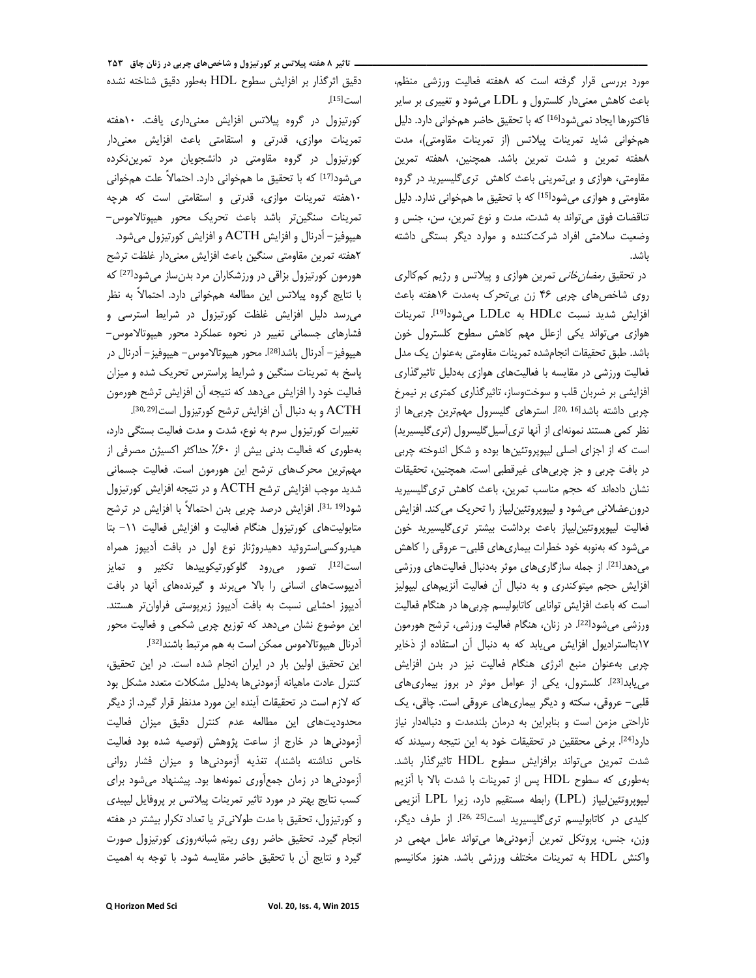مورد بررسی قرار گرفته است که ۸هفته فعالیت ورزشی منظم، باعث کاهش معنیدار کلسترول و LDL میشود و تغییری بر سایر فاكتورها ايجاد نمي شود<sup>[16]</sup> كه با تحقيق حاضر همخواني دارد. دليل همخوانی شاید تمرینات پیلاتس (از تمرینات مقاومتی)، مدت ٨هفته تمرين و شدت تمرين باشد. همچنين، ٨هفته تمرين مقاومتی، هوازی و بی تمرینی باعث کاهش تری گلیسیرید در گروه مقاومتی و هوازی میشود<sup>[15]</sup> که با تحقیق ما همخوانی ندارد. دلیل تناقضات فوق می تواند به شدت، مدت و نوع تمرین، سن، جنس و وضعیت سلامتی افراد شرکتکننده و موارد دیگر بستگی داشته ىاشد.

در تحقیق *رمضان خانی* تمرین هوازی و پیلاتس و رژیم کمکالری روی شاخصهای چربی ۴۶ زن بی تحرک بهمدت ۱۶هفته باعث افزايش شديد نسبت HDLc به LDLc مىشود<sup>[19]</sup>. تمرينات هوازی می تواند یکی ازعلل مهم کاهش سطوح کلسترول خون باشد. طبق تحقيقات انجامشده تمرينات مقاومتي بهعنوان يک مدل فعالیت ورزشی در مقایسه با فعالیتهای هوازی بهدلیل تاثیرگذاری افزایشی بر ضربان قلب و سوختوساز، تاثیرگذاری کمتری بر نیمرخ چربی داشته باشدا<sup>20, 16</sup>]. استرهای گلیسرول مهم ترین چربیها از نظر کمی هستند نمونهای از آنها تریأسیل گلیسرول (تریگلیسیرید) است که از اجزای اصلی لیپوپروتئینها بوده و شکل اندوخته چربی در بافت چربی و جز چربیهای غیرقطبی است. همچنین، تحقیقات نشان دادهاند که حجم مناسب تمرین، باعث کاهش تری گلیسیرید درونعضلانی میشود و لیپوپروتئینِلیپاز را تحریک می کند. افزایش فعاليت ليپوپروتئين ليپاز باعث برداشت بيشتر ترى گليسيريد خون میشود که بهنوبه خود خطرات بیماریهای قلبی– عروقی را کاهش می دهدا<sup>21]</sup>. از جمله سازگاریهای موثر بهدنبال فعالیتهای ورزشی افزایش حجم میتوکندری و به دنبال آن فعالیت آنزیمهای لیپولیز است که باعث افزایش توانایی کاتابولیسم چربی ها در هنگام فعالیت ورزشی می شود<sup>[22]</sup>. در زنان، هنگام فعالیت ورزشی، ترشح هورمون ١٧بتااستراديول افزايش مى يابد كه به دنبال آن استفاده از ذخاير چربی به عنوان منبع انرژی هنگام فعالیت نیز در بدن افزایش می یابدا<sup>23</sup>]. کلسترول، یکی از عوامل موثر در بروز بیماری های قلبی- عروقی، سکته و دیگر بیماریهای عروقی است. چاقی، یک ناراحتی مزمن است و بنابراین به درمان بلندمدت و دنبالهدار نیاز داردا<sup>24]</sup>. برخی محققین در تحقیقات خود به این نتیجه رسیدند که شدت تمرين مي تواند برافزايش سطوح HDL تاثير گذار باشد. بهطوری که سطوح HDL پس از تمرینات با شدت بالا با آنزیم ليپوپروتئين ليپاز (LPL) رابطه مستقيم دارد، زيرا LPL آنزيمي کلیدی در کاتابولیسم تری گلیسیرید است<sup>[25,25]</sup>. از طرف دیگر، وزن، جنس، پروتکل تمرین آزمودنیها میتواند عامل مهمی در واكنش HDL به تمرينات مختلف ورزشي باشد. هنوز مكانيسم

**- تاثیر ۸ هفته پیلاتس بر کورتیزول و شاخصهای چربی در زنان چاق ۲۵۳** دقيق اثرگذار بر افزايش سطوح HDL بهطور دقيق شناخته نشده است<sup>[15]</sup>.

کورتیزول در گروه پیلاتس افزایش معنیداری یافت. ۱۰هفته تمرینات موازی، قدرتی و استقامتی باعث افزایش معنیدار کورتیزول در گروه مقاومتی در دانشجویان مرد تمرینِنکرده می شود[17] که با تحقیق ما همخوانی دارد. احتمالاً علت همخوانی ١٠هفته تمرينات موازى، قدرتى و استقامتى است كه هرچه تمرينات سنگينتر باشد باعث تحريک محور هيپوتالاموس-هیپوفیز – آدرنال و افزایش ACTH و افزایش کورتیزول میشود. ٢هفته تمرين مقاومتي سنگين باعث افزايش معنىدار غلظت ترشح هورمون کورتیزول بزاقی در ورزشکاران مرد بدن ساز می شود<sup>[27]</sup> که با نتايج گروه پيلاتس اين مطالعه همخواني دارد. احتمالاً به نظر می رسد دلیل افزایش غلظت کورتیزول در شرایط استرسی و فشارهای جسمانی تغییر در نحوه عملکرد محور هیپوتالاموس-هيپوفيز – آدرنال باشد<sup>[28]</sup>. محور هيپوتالاموس – هيپوفيز – آدرنال در پاسخ به تمرینات سنگین و شرایط پراسترس تحریک شده و میزان فعالیت خود را افزایش میدهد که نتیجه آن افزایش ترشح هورمون ACTH و به دنبال أن افزايش ترشح كورتيزول است<sup>30,29</sup>].

تغییرات کورتیزول سرم به نوع، شدت و مدت فعالیت بستگی دارد، بهطوری که فعالیت بدنی بیش از ۶۰٪ حداکثر اکسیژن مصرفی از مهمترین محرکهای ترشح این هورمون است. فعالیت جسمانی شدید موجب افزایش ترشح ACTH و در نتیجه افزایش کورتیزول شود<sup>[31, 19]. افزایش درصد چربی بدن احتمالاً با افزایش در ترشح</sup> متابولیتهای کورتیزول هنگام فعالیت و افزایش فعالیت ١١- بتا هیدروکسی|ستروئید دهیدروژناز نوع اول در بافت آدیپوز همراه است[12]. تصور می رود گلوکورتیکوییدها تکثیر و تمایز آدیپوستهای انسانی را بالا می برند و گیرندههای آنها در بافت آدیپوز احشایی نسبت به بافت آدیپوز زیریوستی فراوانتر هستند. این موضوع نشان میدهد که توزیع چربی شکمی و فعالیت محور آدرنال هییوتالاموس ممکن است به هم مرتبط باشند<sup>[32]</sup>.

این تحقیق اولین بار در ایران انجام شده است. در این تحقیق، كنترل عادت ماهيانه آزمودنىها بهدليل مشكلات متعدد مشكل بود كه لازم است در تحقیقات آینده این مورد مدنظر قرار گیرد. از دیگر محدودیتهای این مطالعه عدم کنترل دقیق میزان فعالیت آزمودنی ها در خارج از ساعت پژوهش (توصیه شده بود فعالیت خاص نداشته باشند)، تغذیه آزمودنیها و میزان فشار روانی آزمودنیها در زمان جمعآوری نمونهها بود. پیشنهاد می شود برای کسب نتایج بهتر در مورد تاثیر تمرینات پیلاتس بر پروفایل لیپیدی و کورتیزول، تحقیق با مدت طولانی تر یا تعداد تکرار بیشتر در هفته انجام گیرد. تحقیق حاضر روی ریتم شبانهروزی کورتیزول صورت گیرد و نتایج آن با تحقیق حاضر مقایسه شود. با توجه به اهمیت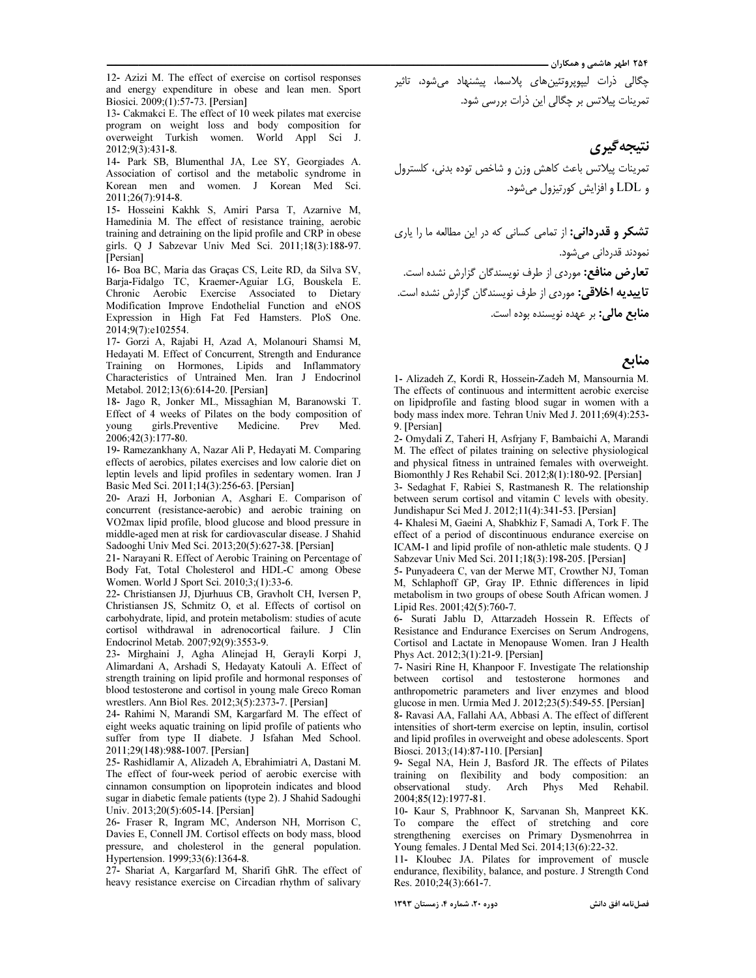۲۵۴ اطهر هاشمی و همکاران ــــ

12- Azizi M. The effect of exercise on cortisol responses and energy expenditure in obese and lean men. Sport Biosici. 2009;(1):57-73. [Persian]

------------------------------------------------------------------------------------------------

13- Cakmakci E. The effect of 10 week pilates mat exercise program on weight loss and body composition for overweight Turkish women. World Appl Sci J. 2012;9(3):431-8.

14- Park SB, Blumenthal JA, Lee SY, Georgiades A. Association of cortisol and the metabolic syndrome in Korean men and women. J Korean Med Sci. 2011;26(7):914-8.

15- Hosseini Kakhk S, Amiri Parsa T, Azarnive M, Hamedinia M. The effect of resistance training, aerobic training and detraining on the lipid profile and CRP in obese girls. Q J Sabzevar Univ Med Sci. 2011;18(3):188-97. [Persian]

16- Boa BC, Maria das Graças CS, Leite RD, da Silva SV, Barja-Fidalgo TC, Kraemer-Aguiar LG, Bouskela E. Chronic Aerobic Exercise Associated to Dietary Modification Improve Endothelial Function and eNOS Expression in High Fat Fed Hamsters. PloS One. 2014;9(7):e102554.

17- Gorzi A, Rajabi H, Azad A, Molanouri Shamsi M, Hedayati M. Effect of Concurrent, Strength and Endurance Training on Hormones, Lipids and Inflammatory Characteristics of Untrained Men. Iran J Endocrinol Metabol. 2012;13(6):614-20. [Persian]

18- Jago R, Jonker ML, Missaghian M, Baranowski T. Effect of 4 weeks of Pilates on the body composition of young girls.Preventive Medicine. Prev Med. 2006;42(3):177-80.

19- Ramezankhany A, Nazar Ali P, Hedayati M. Comparing effects of aerobics, pilates exercises and low calorie diet on leptin levels and lipid profiles in sedentary women. Iran J Basic Med Sci. 2011;14(3):256-63. [Persian]

20- Arazi H, Jorbonian A, Asghari E. Comparison of concurrent (resistance-aerobic) and aerobic training on VO2max lipid profile, blood glucose and blood pressure in middle-aged men at risk for cardiovascular disease. J Shahid Sadooghi Univ Med Sci. 2013;20(5):627-38. [Persian]

21- Narayani R. Effect of Aerobic Training on Percentage of Body Fat, Total Cholesterol and HDL-C among Obese Women. World J Sport Sci. 2010;3;(1):33-6.

22- Christiansen JJ, Djurhuus CB, Gravholt CH, Iversen P, Christiansen JS, Schmitz O, et al. Effects of cortisol on carbohydrate, lipid, and protein metabolism: studies of acute cortisol withdrawal in adrenocortical failure. J Clin Endocrinol Metab. 2007;92(9):3553-9.

23- Mirghaini J, Agha Alinejad H, Gerayli Korpi J, Alimardani A, Arshadi S, Hedayaty Katouli A. Effect of strength training on lipid profile and hormonal responses of blood testosterone and cortisol in young male Greco Roman wrestlers. Ann Biol Res. 2012;3(5):2373-7. [Persian]

24- Rahimi N, Marandi SM, Kargarfard M. The effect of eight weeks aquatic training on lipid profile of patients who suffer from type II diabete. J Isfahan Med School. 2011;29(148):988-1007. [Persian]

25- Rashidlamir A, Alizadeh A, Ebrahimiatri A, Dastani M. The effect of four-week period of aerobic exercise with cinnamon consumption on lipoprotein indicates and blood sugar in diabetic female patients (type 2). J Shahid Sadoughi Univ. 2013;20(5):605-14. [Persian]

26- Fraser R, Ingram MC, Anderson NH, Morrison C, Davies E, Connell JM. Cortisol effects on body mass, blood pressure, and cholesterol in the general population. Hypertension. 1999;33(6):1364-8.

27- Shariat A, Kargarfard M, Sharifi GhR. The effect of heavy resistance exercise on Circadian rhythm of salivary

چگالی ذرات لیپویروتئینِهای پلاسما، پیشنهاد می,شود، تاثیر تمرینات پیلاتس بر چگالی این ذرات بررسی شود.

# نتيجەگيرى

تمرينات ببلاتس باعث كاهش وزن و شاخص توده بدني، كلسترول و LDL و افزايش كورتيزول مى شود.

**تشکر و قدردانی:** از تمامی کسانی که در این مطالعه ما را یاری نمودند قدردان*ی می*.شود**.** تعارض منافع: موردی از طرف نویسندگان گزارش نشده است. **تاییدیه اخلاقی:** موردی از طرف نویسندگان گزارش نشده است. **منابع مالی:** بر عهده نویسنده بوده اس*ت*.

### منابع

1- Alizadeh Z, Kordi R, Hossein-Zadeh M, Mansournia M. The effects of continuous and intermittent aerobic exercise on lipidprofile and fasting blood sugar in women with a body mass index more. Tehran Univ Med J. 2011;69(4):253- 9. [Persian]

2- Omydali Z, Taheri H, Asfrjany F, Bambaichi A, Marandi M. The effect of pilates training on selective physiological and physical fitness in untrained females with overweight. Biomonthly J Res Rehabil Sci. 2012;8(1):180-92. [Persian] 3- Sedaghat F, Rabiei S, Rastmanesh R. The relationship

between serum cortisol and vitamin C levels with obesity. Jundishapur Sci Med J. 2012;11(4):341-53. [Persian]

4- Khalesi M, Gaeini A, Shabkhiz F, Samadi A, Tork F. The effect of a period of discontinuous endurance exercise on ICAM-1 and lipid profile of non-athletic male students. Q J Sabzevar Univ Med Sci. 2011;18(3):198-205. [Persian]

5- Punyadeera C, van der Merwe MT, Crowther NJ, Toman M, Schlaphoff GP, Gray IP. Ethnic differences in lipid metabolism in two groups of obese South African women. J Lipid Res. 2001;42(5):760-7.

6- Surati Jablu D, Attarzadeh Hossein R. Effects of Resistance and Endurance Exercises on Serum Androgens, Cortisol and Lactate in Menopause Women. Iran J Health Phys Act. 2012;3(1):21-9. [Persian]

7- Nasiri Rine H, Khanpoor F. Investigate The relationship between cortisol and testosterone hormones and anthropometric parameters and liver enzymes and blood glucose in men. Urmia Med J. 2012;23(5):549-55. [Persian]

8- Ravasi AA, Fallahi AA, Abbasi A. The effect of different intensities of short-term exercise on leptin, insulin, cortisol and lipid profiles in overweight and obese adolescents. Sport Biosci. 2013;(14):87-110. [Persian]

9- Segal NA, Hein J, Basford JR. The effects of Pilates training on flexibility and body composition: an observational study. Arch Phys Med Rehabil. 2004;85(12):1977-81.

10- Kaur S, Prabhnoor K, Sarvanan Sh, Manpreet KK. To compare the effect of stretching and core strengthening exercises on Primary Dysmenohrrea in Young females. J Dental Med Sci. 2014;13(6):22-32.

11- Kloubec JA. Pilates for improvement of muscle endurance, flexibility, balance, and posture. J Strength Cond Res. 2010;24(3):661-7.

دوره ۲۰، شماره ۴، زمستان ۱۳۹۳